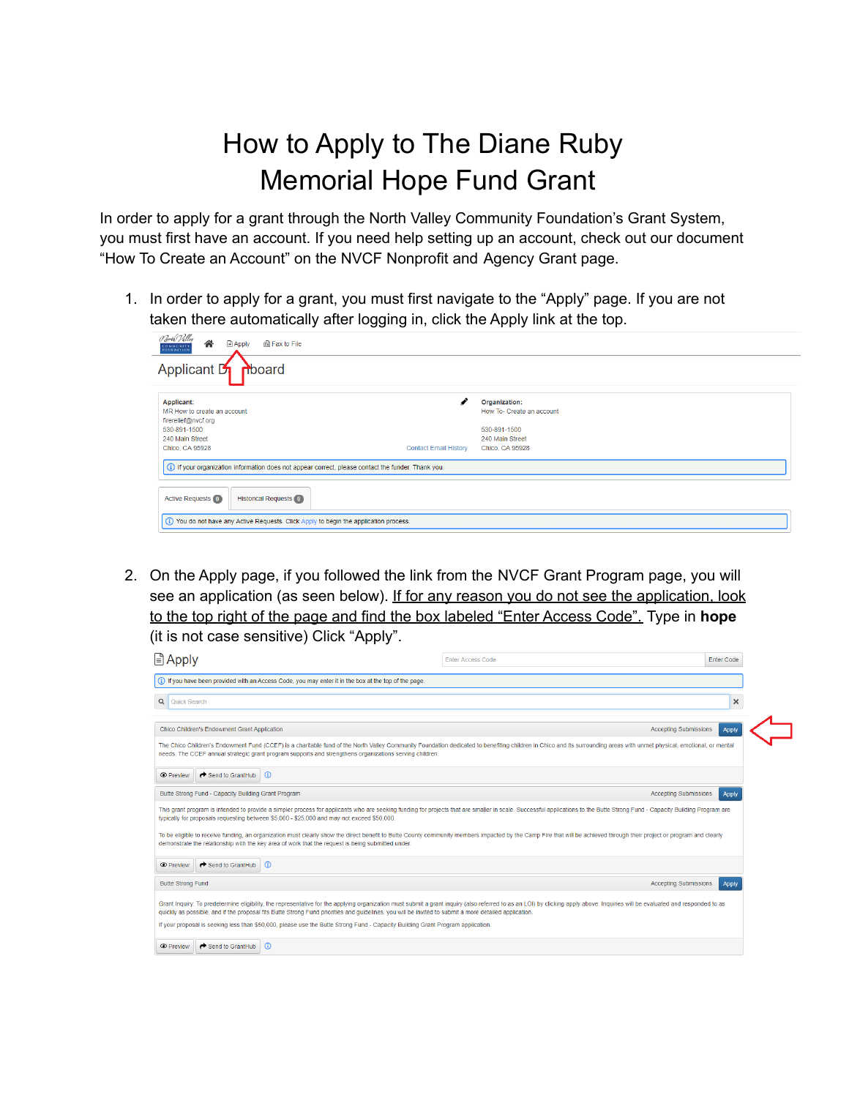## How to Apply to The Diane Ruby Memorial Hope Fund Grant

In order to apply for a grant through the North Valley Community Foundation's Grant System, you must first have an account. If you need help setting up an account, check out our document "How To Create an Account" on the NVCF Nonprofit and Agency Grant page.

1. In order to apply for a grant, you must first navigate to the "Apply" page. If you are not taken there automatically after logging in, click the Apply link at the top.

| Porth Palley<br>各<br><b>Apply</b><br><b>品Fax to File</b><br>COMMUNITY<br><b>FOUNDATION</b>                                                                    |                                                                                                  |
|---------------------------------------------------------------------------------------------------------------------------------------------------------------|--------------------------------------------------------------------------------------------------|
| Applicant <b>5</b> mboard                                                                                                                                     |                                                                                                  |
| <b>Applicant:</b><br>MR How to create an account<br>firerelief@nvcf.org<br>530-891-1500<br>240 Main Street<br>Chico, CA 95928<br><b>Contact Email History</b> | Organization:<br>How To- Create an account<br>530-891-1500<br>240 Main Street<br>Chico, CA 95928 |
| (i) If your organization information does not appear correct, please contact the funder. Thank you.                                                           |                                                                                                  |
| <b>Active Requests (0)</b><br><b>Historical Requests 0</b>                                                                                                    |                                                                                                  |
| (i) You do not have any Active Requests. Click Apply to begin the application process.                                                                        |                                                                                                  |

2. On the Apply page, if you followed the link from the NVCF Grant Program page, you will see an application (as seen below). If for any reason you do not see the application, look to the top right of the page and find the box labeled "Enter Access Code". Type in **hope** (it is not case sensitive) Click "Apply".